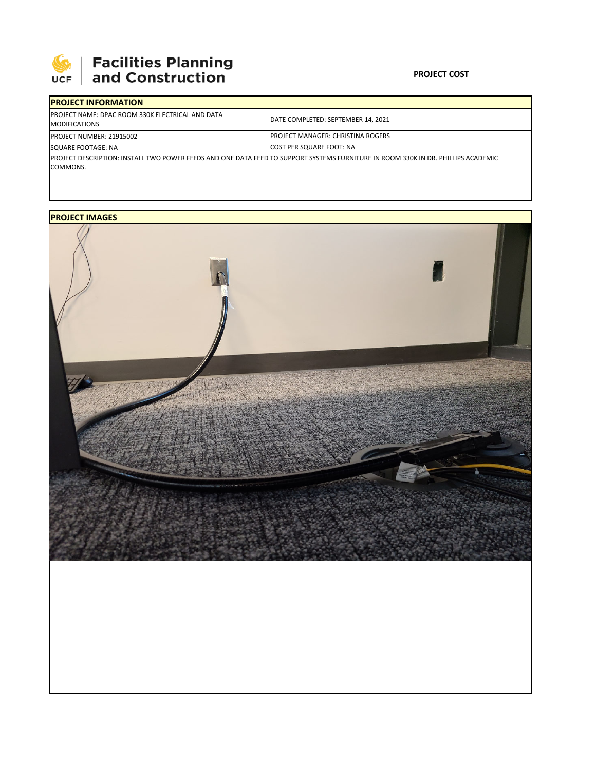

## **PROJECT COST**

| <b>IPROJECT INFORMATION</b>                                                      |                                                                                                                                    |
|----------------------------------------------------------------------------------|------------------------------------------------------------------------------------------------------------------------------------|
| <b>IPROJECT NAME: DPAC ROOM 330K ELECTRICAL AND DATA</b><br><b>MODIFICATIONS</b> | DATE COMPLETED: SEPTEMBER 14, 2021                                                                                                 |
| <b>PROJECT NUMBER: 21915002</b>                                                  | IPROJECT MANAGER: CHRISTINA ROGERS                                                                                                 |
| SQUARE FOOTAGE: NA                                                               | <b>COST PER SQUARE FOOT: NA</b>                                                                                                    |
| COMMONS.                                                                         | IPROJECT DESCRIPTION: INSTALL TWO POWER FEEDS AND ONE DATA FEED TO SUPPORT SYSTEMS FURNITURE IN ROOM 330K IN DR. PHILLIPS ACADEMIC |

## **PROJECT IMAGES**